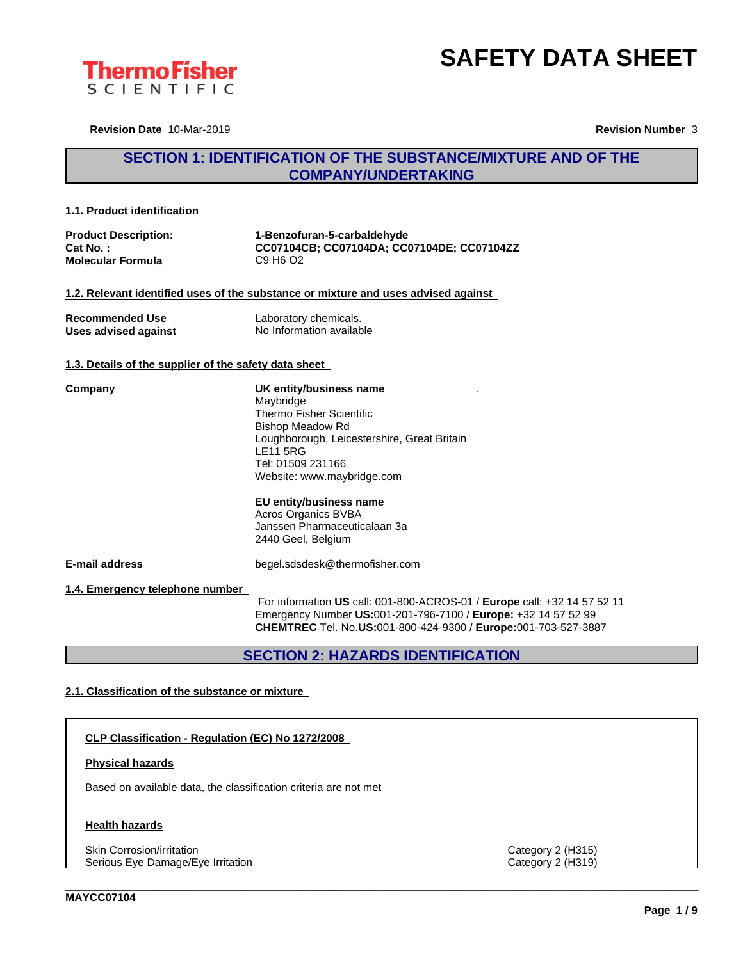



**Revision Date** 10-Mar-2019 **Revision Number** 3

### **SECTION 1: IDENTIFICATION OF THE SUBSTANCE/MIXTURE AND OF THE COMPANY/UNDERTAKING**

#### **1.1. Product identification**

| <b>Product Description:</b> | 1-Benzofuran-5-carbaldehvde                |
|-----------------------------|--------------------------------------------|
| Cat No. :                   | CC07104CB; CC07104DA; CC07104DE; CC07104ZZ |
| <b>Molecular Formula</b>    | C9 H <sub>6</sub> O <sub>2</sub>           |

#### **1.2. Relevant identified uses of the substance or mixture and uses advised against**

| <b>Recommended Use</b> | Laboratory chemicals.    |
|------------------------|--------------------------|
| Uses advised against   | No Information available |

#### **1.3. Details of the supplier of the safety data sheet**

| Company |  |
|---------|--|
|         |  |

**Company UK entity/business name** Maybridge Thermo Fisher Scientific Bishop Meadow Rd Loughborough, Leicestershire, Great Britain LE11 5RG Tel: 01509 231166 Website: www.maybridge.com

#### **EU entity/business name**

Acros Organics BVBA Janssen Pharmaceuticalaan 3a 2440 Geel, Belgium

**E-mail address** begel.sdsdesk@thermofisher.com

**1.4. Emergency telephone number**

For information **US** call: 001-800-ACROS-01 / **Europe** call: +32 14 57 52 11 Emergency Number **US:**001-201-796-7100 / **Europe:** +32 14 57 52 99 **CHEMTREC** Tel. No.**US:**001-800-424-9300 / **Europe:**001-703-527-3887

\_\_\_\_\_\_\_\_\_\_\_\_\_\_\_\_\_\_\_\_\_\_\_\_\_\_\_\_\_\_\_\_\_\_\_\_\_\_\_\_\_\_\_\_\_\_\_\_\_\_\_\_\_\_\_\_\_\_\_\_\_\_\_\_\_\_\_\_\_\_\_\_\_\_\_\_\_\_\_\_\_\_\_\_\_\_\_\_\_\_\_\_\_\_

.

### **SECTION 2: HAZARDS IDENTIFICATION**

#### **2.1. Classification of the substance or mixture**

**CLP Classification - Regulation (EC) No 1272/2008**

#### **Physical hazards**

Based on available data, the classification criteria are not met

#### **Health hazards**

Skin Corrosion/irritation Category 2 (H315) Serious Eye Damage/Eye Irritation **Category 2 (H319)** Category 2 (H319)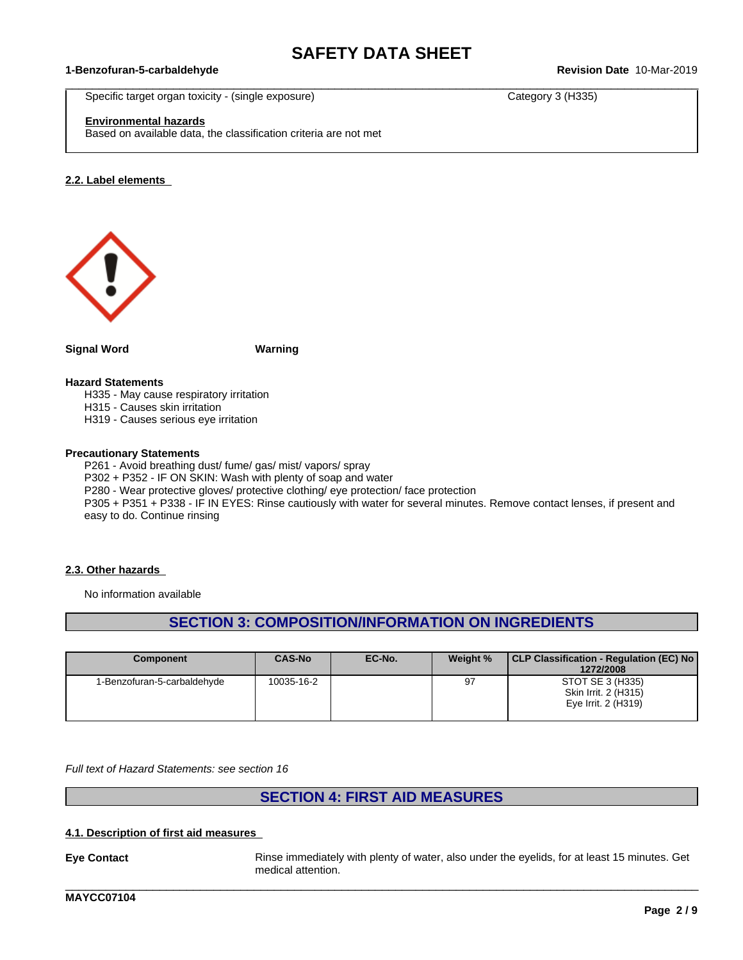$\_$  ,  $\_$  ,  $\_$  ,  $\_$  ,  $\_$  ,  $\_$  ,  $\_$  ,  $\_$  ,  $\_$  ,  $\_$  ,  $\_$  ,  $\_$  ,  $\_$  ,  $\_$  ,  $\_$  ,  $\_$  ,  $\_$  ,  $\_$  ,  $\_$  ,  $\_$  ,  $\_$  ,  $\_$  ,  $\_$  ,  $\_$  ,  $\_$  ,  $\_$  ,  $\_$  ,  $\_$  ,  $\_$  ,  $\_$  ,  $\_$  ,  $\_$  ,  $\_$  ,  $\_$  ,  $\_$  ,  $\_$  ,  $\_$  ,

#### **1-Benzofuran-5-carbaldehyde Revision Date** 10-Mar-2019

Specific target organ toxicity - (single exposure) Category 3 (H335)

### **Environmental hazards**

Based on available data, the classification criteria are not met

#### **2.2. Label elements**



**Signal Word Warning**

#### **Hazard Statements**

H335 - May cause respiratory irritation

H315 - Causes skin irritation

H319 - Causes serious eye irritation

#### **Precautionary Statements**

P261 - Avoid breathing dust/ fume/ gas/ mist/ vapors/ spray

P302 + P352 - IF ON SKIN: Wash with plenty of soap and water

P280 - Wear protective gloves/ protective clothing/ eye protection/ face protection

P305 + P351 + P338 - IF IN EYES: Rinse cautiously with water for several minutes. Remove contact lenses, if present and easy to do. Continue rinsing

#### **2.3. Other hazards**

No information available

### **SECTION 3: COMPOSITION/INFORMATION ON INGREDIENTS**

| <b>Component</b>            | CAS-No     | EC-No. | Weight % | CLP Classification - Regulation (EC) No<br>1272/2008            |
|-----------------------------|------------|--------|----------|-----------------------------------------------------------------|
| 1-Benzofuran-5-carbaldehyde | 10035-16-2 |        | 97       | STOT SE 3 (H335)<br>Skin Irrit. 2 (H315)<br>Eye Irrit. 2 (H319) |

*Full text of Hazard Statements: see section 16*

### **SECTION 4: FIRST AID MEASURES**

#### **4.1. Description of first aid measures**

**Eye Contact** Rinse immediately with plenty of water, also under the eyelids, for at least 15 minutes. Get medical attention.

\_\_\_\_\_\_\_\_\_\_\_\_\_\_\_\_\_\_\_\_\_\_\_\_\_\_\_\_\_\_\_\_\_\_\_\_\_\_\_\_\_\_\_\_\_\_\_\_\_\_\_\_\_\_\_\_\_\_\_\_\_\_\_\_\_\_\_\_\_\_\_\_\_\_\_\_\_\_\_\_\_\_\_\_\_\_\_\_\_\_\_\_\_\_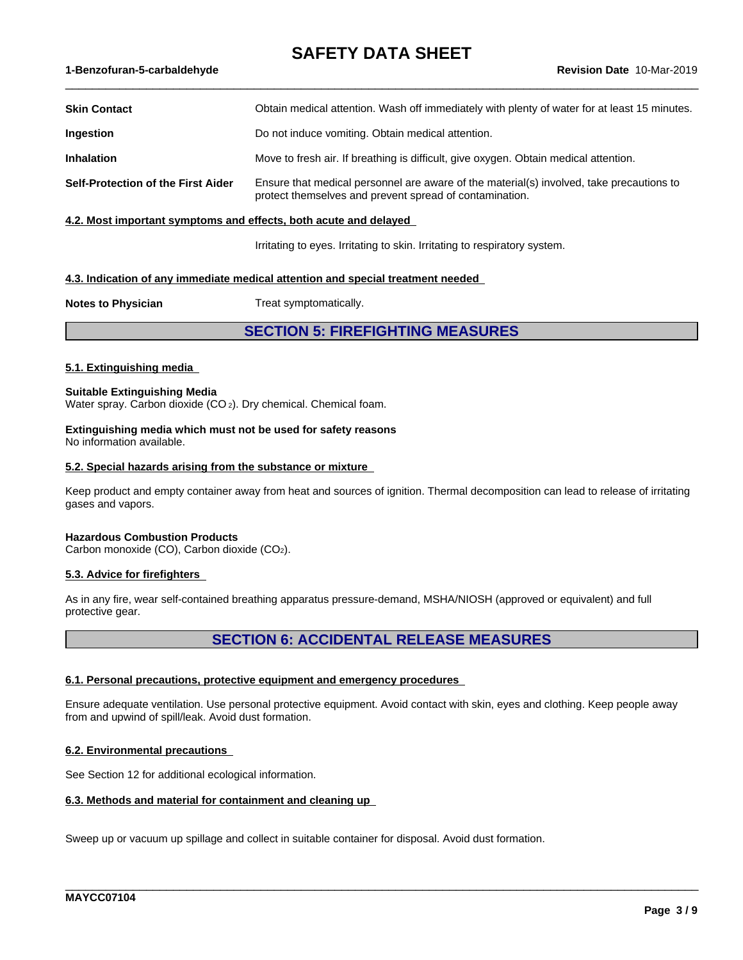#### **1-Benzofuran-5-carbaldehyde Revision Date** 10-Mar-2019

| <b>Skin Contact</b>                | Obtain medical attention. Wash off immediately with plenty of water for at least 15 minutes.                                                        |
|------------------------------------|-----------------------------------------------------------------------------------------------------------------------------------------------------|
| Ingestion                          | Do not induce vomiting. Obtain medical attention.                                                                                                   |
| <b>Inhalation</b>                  | Move to fresh air. If breathing is difficult, give oxygen. Obtain medical attention.                                                                |
| Self-Protection of the First Aider | Ensure that medical personnel are aware of the material(s) involved, take precautions to<br>protect themselves and prevent spread of contamination. |

#### **4.2. Most important symptoms and effects, both acute and delayed**

Irritating to eyes. Irritating to skin. Irritating to respiratory system.

 $\_$  ,  $\_$  ,  $\_$  ,  $\_$  ,  $\_$  ,  $\_$  ,  $\_$  ,  $\_$  ,  $\_$  ,  $\_$  ,  $\_$  ,  $\_$  ,  $\_$  ,  $\_$  ,  $\_$  ,  $\_$  ,  $\_$  ,  $\_$  ,  $\_$  ,  $\_$  ,  $\_$  ,  $\_$  ,  $\_$  ,  $\_$  ,  $\_$  ,  $\_$  ,  $\_$  ,  $\_$  ,  $\_$  ,  $\_$  ,  $\_$  ,  $\_$  ,  $\_$  ,  $\_$  ,  $\_$  ,  $\_$  ,  $\_$  ,

#### **4.3. Indication of any immediate medical attention and special treatment needed**

**Notes to Physician** Treat symptomatically.

### **SECTION 5: FIREFIGHTING MEASURES**

#### **5.1. Extinguishing media**

**Suitable Extinguishing Media** Water spray. Carbon dioxide (CO<sub>2</sub>). Dry chemical. Chemical foam.

#### **Extinguishing media which must not be used for safety reasons** No information available.

#### **5.2. Special hazards arising from the substance or mixture**

Keep product and empty container away from heat and sources of ignition. Thermal decomposition can lead to release of irritating gases and vapors.

#### **Hazardous Combustion Products**

Carbon monoxide (CO), Carbon dioxide (CO2).

#### **5.3. Advice for firefighters**

As in any fire, wear self-contained breathing apparatus pressure-demand, MSHA/NIOSH (approved or equivalent) and full protective gear.

### **SECTION 6: ACCIDENTAL RELEASE MEASURES**

#### **6.1. Personal precautions, protective equipment and emergency procedures**

Ensure adequate ventilation. Use personal protective equipment. Avoid contact with skin, eyes and clothing. Keep people away from and upwind of spill/leak. Avoid dust formation.

\_\_\_\_\_\_\_\_\_\_\_\_\_\_\_\_\_\_\_\_\_\_\_\_\_\_\_\_\_\_\_\_\_\_\_\_\_\_\_\_\_\_\_\_\_\_\_\_\_\_\_\_\_\_\_\_\_\_\_\_\_\_\_\_\_\_\_\_\_\_\_\_\_\_\_\_\_\_\_\_\_\_\_\_\_\_\_\_\_\_\_\_\_\_

#### **6.2. Environmental precautions**

See Section 12 for additional ecological information.

#### **6.3. Methods and material for containment and cleaning up**

Sweep up or vacuum up spillage and collect in suitable container for disposal. Avoid dust formation.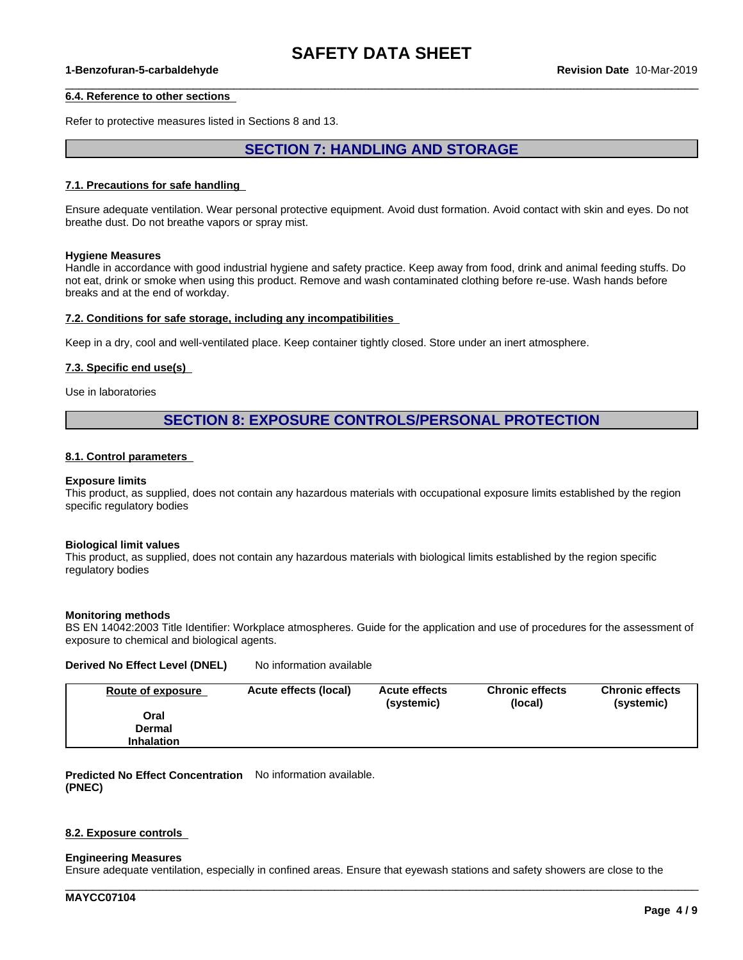$\_$  ,  $\_$  ,  $\_$  ,  $\_$  ,  $\_$  ,  $\_$  ,  $\_$  ,  $\_$  ,  $\_$  ,  $\_$  ,  $\_$  ,  $\_$  ,  $\_$  ,  $\_$  ,  $\_$  ,  $\_$  ,  $\_$  ,  $\_$  ,  $\_$  ,  $\_$  ,  $\_$  ,  $\_$  ,  $\_$  ,  $\_$  ,  $\_$  ,  $\_$  ,  $\_$  ,  $\_$  ,  $\_$  ,  $\_$  ,  $\_$  ,  $\_$  ,  $\_$  ,  $\_$  ,  $\_$  ,  $\_$  ,  $\_$  ,

#### **1-Benzofuran-5-carbaldehyde Revision Date** 10-Mar-2019

#### **6.4. Reference to other sections**

Refer to protective measures listed in Sections 8 and 13.

### **SECTION 7: HANDLING AND STORAGE**

#### **7.1. Precautions for safe handling**

Ensure adequate ventilation. Wear personal protective equipment.Avoid dust formation. Avoid contact with skin and eyes. Do not breathe dust. Do not breathe vapors or spray mist.

#### **Hygiene Measures**

Handle in accordance with good industrial hygiene and safety practice. Keep away from food, drink and animal feeding stuffs. Do not eat, drink or smoke when using this product. Remove and wash contaminated clothing before re-use. Wash hands before breaks and at the end of workday.

#### **7.2. Conditions for safe storage, including any incompatibilities**

Keep in a dry, cool and well-ventilated place. Keep container tightly closed. Store under an inert atmosphere.

#### **7.3. Specific end use(s)**

Use in laboratories

### **SECTION 8: EXPOSURE CONTROLS/PERSONAL PROTECTION**

#### **8.1. Control parameters**

#### **Exposure limits**

This product, as supplied, does not contain any hazardous materials with occupational exposure limits established by the region specific regulatory bodies

#### **Biological limit values**

This product, as supplied, does not contain any hazardous materials with biological limits established by the region specific regulatory bodies

#### **Monitoring methods**

BS EN 14042:2003 Title Identifier: Workplace atmospheres. Guide for the application and use of procedures for the assessment of exposure to chemical and biological agents.

## **Derived No Effect Level (DNEL)** No information available

| <b>Route of exposure</b> | Acute effects (local) | <b>Acute effects</b><br>(systemic) | <b>Chronic effects</b><br>(local) | <b>Chronic effects</b><br>(systemic) |
|--------------------------|-----------------------|------------------------------------|-----------------------------------|--------------------------------------|
| Oral                     |                       |                                    |                                   |                                      |
| Dermal                   |                       |                                    |                                   |                                      |
| <b>Inhalation</b>        |                       |                                    |                                   |                                      |

**Predicted No Effect Concentration** No information available. **(PNEC)**

#### **8.2. Exposure controls**

#### **Engineering Measures**

Ensure adequate ventilation, especially in confined areas. Ensure that eyewash stations and safety showers are close to the

\_\_\_\_\_\_\_\_\_\_\_\_\_\_\_\_\_\_\_\_\_\_\_\_\_\_\_\_\_\_\_\_\_\_\_\_\_\_\_\_\_\_\_\_\_\_\_\_\_\_\_\_\_\_\_\_\_\_\_\_\_\_\_\_\_\_\_\_\_\_\_\_\_\_\_\_\_\_\_\_\_\_\_\_\_\_\_\_\_\_\_\_\_\_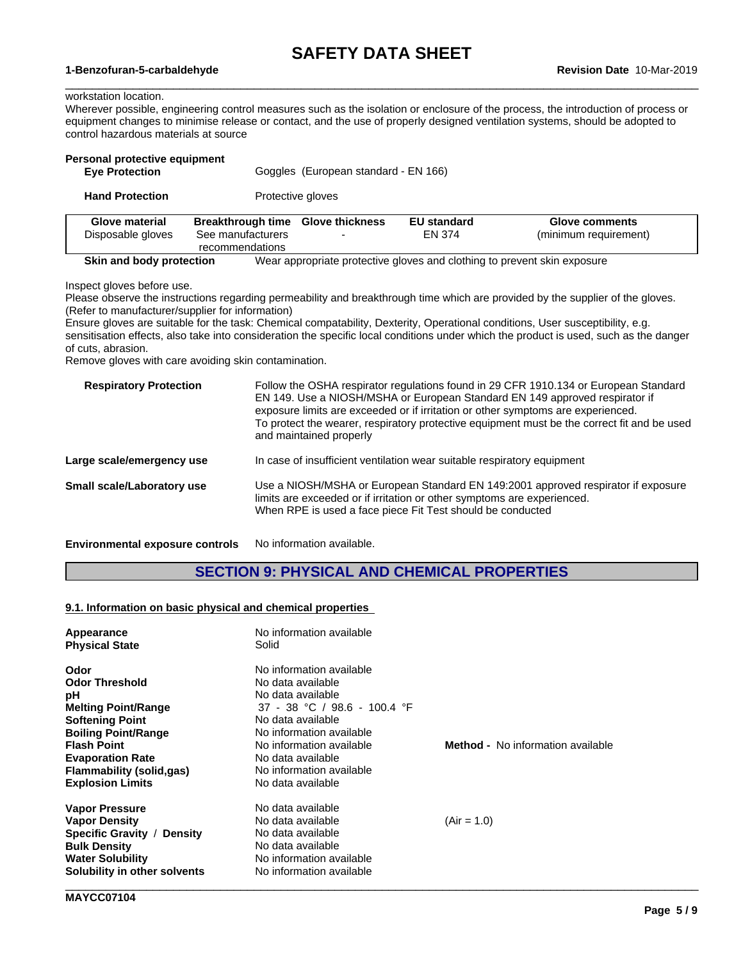$\_$  ,  $\_$  ,  $\_$  ,  $\_$  ,  $\_$  ,  $\_$  ,  $\_$  ,  $\_$  ,  $\_$  ,  $\_$  ,  $\_$  ,  $\_$  ,  $\_$  ,  $\_$  ,  $\_$  ,  $\_$  ,  $\_$  ,  $\_$  ,  $\_$  ,  $\_$  ,  $\_$  ,  $\_$  ,  $\_$  ,  $\_$  ,  $\_$  ,  $\_$  ,  $\_$  ,  $\_$  ,  $\_$  ,  $\_$  ,  $\_$  ,  $\_$  ,  $\_$  ,  $\_$  ,  $\_$  ,  $\_$  ,  $\_$  ,

#### **1-Benzofuran-5-carbaldehyde Revision Date** 10-Mar-2019

#### workstation location.

Wherever possible, engineering control measures such as the isolation or enclosure of the process, the introduction of process or equipment changes to minimise release or contact, and the use of properly designed ventilation systems, should be adopted to control hazardous materials at source

| Personal protective equipment<br><b>Eye Protection</b> |                                                                           | Goggles (European standard - EN 166) |                              |                                         |  |
|--------------------------------------------------------|---------------------------------------------------------------------------|--------------------------------------|------------------------------|-----------------------------------------|--|
| <b>Hand Protection</b>                                 |                                                                           | Protective gloves                    |                              |                                         |  |
| <b>Glove material</b><br>Disposable gloves             | Breakthrough time Glove thickness<br>See manufacturers<br>recommendations |                                      | <b>EU standard</b><br>EN 374 | Glove comments<br>(minimum requirement) |  |

Inspect gloves before use.

Please observe the instructions regarding permeability and breakthrough time which are provided by the supplier of the gloves. (Refer to manufacturer/supplier for information)

**Skin and body protection** Wear appropriate protective gloves and clothing to prevent skin exposure

Ensure gloves are suitable for the task: Chemical compatability, Dexterity, Operational conditions, User susceptibility, e.g. sensitisation effects, also take into consideration the specific local conditions under which the product is used, such as the danger of cuts, abrasion.

Remove gloves with care avoiding skin contamination.

| <b>Respiratory Protection</b>          | Follow the OSHA respirator regulations found in 29 CFR 1910.134 or European Standard<br>EN 149. Use a NIOSH/MSHA or European Standard EN 149 approved respirator if<br>exposure limits are exceeded or if irritation or other symptoms are experienced.<br>To protect the wearer, respiratory protective equipment must be the correct fit and be used<br>and maintained properly |
|----------------------------------------|-----------------------------------------------------------------------------------------------------------------------------------------------------------------------------------------------------------------------------------------------------------------------------------------------------------------------------------------------------------------------------------|
| Large scale/emergency use              | In case of insufficient ventilation wear suitable respiratory equipment                                                                                                                                                                                                                                                                                                           |
| Small scale/Laboratory use             | Use a NIOSH/MSHA or European Standard EN 149:2001 approved respirator if exposure<br>limits are exceeded or if irritation or other symptoms are experienced.<br>When RPE is used a face piece Fit Test should be conducted                                                                                                                                                        |
| <b>Environmental exposure controls</b> | No information available.                                                                                                                                                                                                                                                                                                                                                         |

### **SECTION 9: PHYSICAL AND CHEMICAL PROPERTIES**

#### **9.1. Information on basic physical and chemical properties**

| Appearance                                                                     | No information available     |                                          |
|--------------------------------------------------------------------------------|------------------------------|------------------------------------------|
| <b>Physical State</b>                                                          | Solid                        |                                          |
| Odor                                                                           | No information available     |                                          |
| <b>Odor Threshold</b>                                                          | No data available            |                                          |
| рH                                                                             | No data available            |                                          |
| <b>Melting Point/Range</b>                                                     | 37 - 38 °C / 98.6 - 100.4 °F |                                          |
| <b>Softening Point</b>                                                         | No data available            |                                          |
| <b>Boiling Point/Range</b>                                                     | No information available     |                                          |
| <b>Flash Point</b>                                                             | No information available     | <b>Method -</b> No information available |
| <b>Evaporation Rate</b>                                                        | No data available            |                                          |
| Flammability (solid,gas)                                                       | No information available     |                                          |
| <b>Explosion Limits</b>                                                        | No data available            |                                          |
| <b>Vapor Pressure</b>                                                          | No data available            |                                          |
| <b>Vapor Density</b>                                                           | No data available            | $(Air = 1.0)$                            |
| Specific Gravity / Density                                                     | No data available            |                                          |
|                                                                                | No data available            |                                          |
|                                                                                | No information available     |                                          |
|                                                                                | No information available     |                                          |
| <b>Bulk Density</b><br><b>Water Solubility</b><br>Solubility in other solvents |                              |                                          |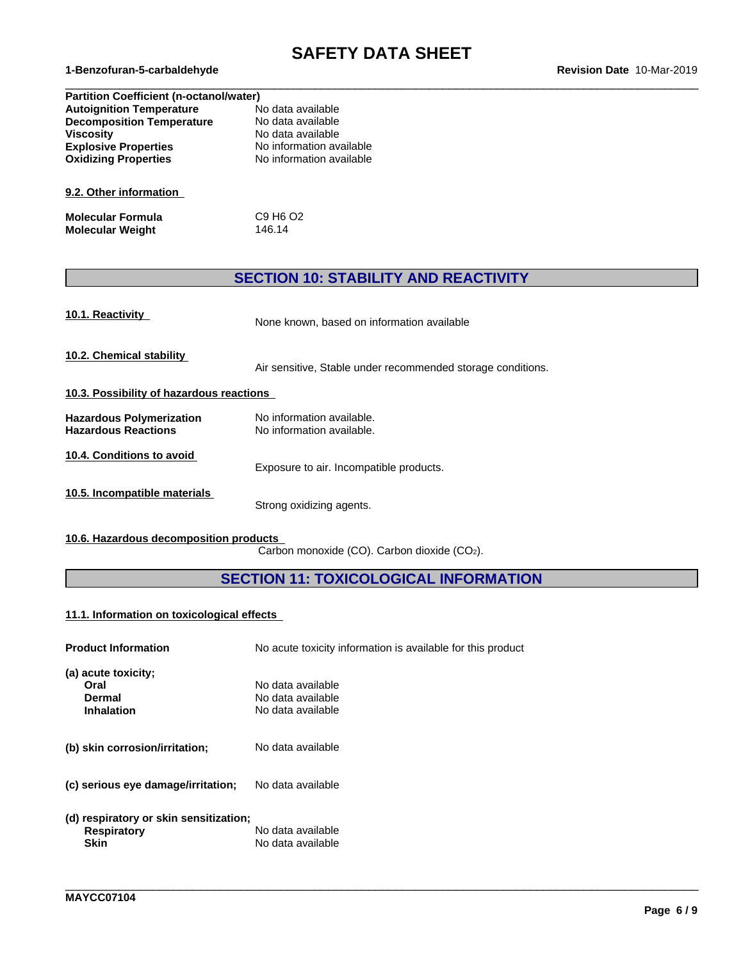# **SAFETY DATA SHEET**<br>Revision Date 10-Mar-2019

 $\_$  ,  $\_$  ,  $\_$  ,  $\_$  ,  $\_$  ,  $\_$  ,  $\_$  ,  $\_$  ,  $\_$  ,  $\_$  ,  $\_$  ,  $\_$  ,  $\_$  ,  $\_$  ,  $\_$  ,  $\_$  ,  $\_$  ,  $\_$  ,  $\_$  ,  $\_$  ,  $\_$  ,  $\_$  ,  $\_$  ,  $\_$  ,  $\_$  ,  $\_$  ,  $\_$  ,  $\_$  ,  $\_$  ,  $\_$  ,  $\_$  ,  $\_$  ,  $\_$  ,  $\_$  ,  $\_$  ,  $\_$  ,  $\_$  ,

| <b>Partition Coefficient (n-octanol/water)</b> |                          |  |  |
|------------------------------------------------|--------------------------|--|--|
| <b>Autoignition Temperature</b>                | No data available        |  |  |
| <b>Decomposition Temperature</b>               | No data available        |  |  |
| <b>Viscosity</b>                               | No data available        |  |  |
| <b>Explosive Properties</b>                    | No information available |  |  |
| <b>Oxidizing Properties</b>                    | No information available |  |  |
|                                                |                          |  |  |
| 9.2. Other information                         |                          |  |  |
| <b>Molecular Formula</b>                       | C9 H6 O2                 |  |  |
| <b>Molecular Weight</b>                        | 146.14                   |  |  |

### **SECTION 10: STABILITY AND REACTIVITY**

| 10.1. Reactivity                                              | None known, based on information available                  |
|---------------------------------------------------------------|-------------------------------------------------------------|
| 10.2. Chemical stability                                      | Air sensitive, Stable under recommended storage conditions. |
| 10.3. Possibility of hazardous reactions                      |                                                             |
| <b>Hazardous Polymerization</b><br><b>Hazardous Reactions</b> | No information available.<br>No information available.      |
| 10.4. Conditions to avoid                                     | Exposure to air. Incompatible products.                     |
| 10.5. Incompatible materials                                  | Strong oxidizing agents.                                    |

**10.6. Hazardous decomposition products**

Carbon monoxide (CO). Carbon dioxide (CO2).

### **SECTION 11: TOXICOLOGICAL INFORMATION**

\_\_\_\_\_\_\_\_\_\_\_\_\_\_\_\_\_\_\_\_\_\_\_\_\_\_\_\_\_\_\_\_\_\_\_\_\_\_\_\_\_\_\_\_\_\_\_\_\_\_\_\_\_\_\_\_\_\_\_\_\_\_\_\_\_\_\_\_\_\_\_\_\_\_\_\_\_\_\_\_\_\_\_\_\_\_\_\_\_\_\_\_\_\_

### **11.1. Information on toxicologicaleffects**

| <b>Product Information</b>                                                  | No acute toxicity information is available for this product |
|-----------------------------------------------------------------------------|-------------------------------------------------------------|
| (a) acute toxicity;<br>Oral<br>Dermal<br><b>Inhalation</b>                  | No data available<br>No data available<br>No data available |
| (b) skin corrosion/irritation;                                              | No data available                                           |
| (c) serious eye damage/irritation;                                          | No data available                                           |
| (d) respiratory or skin sensitization;<br><b>Respiratory</b><br><b>Skin</b> | No data available<br>No data available                      |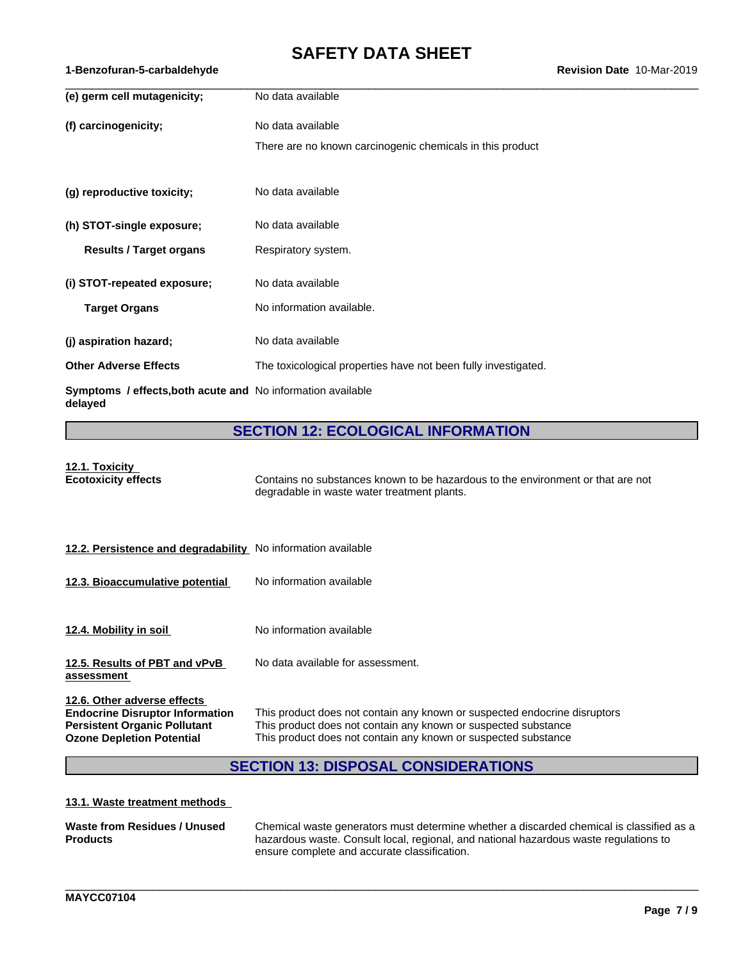| (e) germ cell mutagenicity;                                            | No data available                                              |
|------------------------------------------------------------------------|----------------------------------------------------------------|
| (f) carcinogenicity;                                                   | No data available                                              |
|                                                                        | There are no known carcinogenic chemicals in this product      |
|                                                                        |                                                                |
| (g) reproductive toxicity;                                             | No data available                                              |
| (h) STOT-single exposure;                                              | No data available                                              |
| <b>Results / Target organs</b>                                         | Respiratory system.                                            |
| (i) STOT-repeated exposure;                                            | No data available                                              |
| <b>Target Organs</b>                                                   | No information available.                                      |
| (j) aspiration hazard;                                                 | No data available                                              |
| <b>Other Adverse Effects</b>                                           | The toxicological properties have not been fully investigated. |
| Symptoms / effects, both acute and No information available<br>delayed |                                                                |

### **SECTION 12: ECOLOGICAL INFORMATION**

| 12.1. Toxicity             |  |  |
|----------------------------|--|--|
| <b>Ecotoxicity effects</b> |  |  |

**Example 2** Econtains no substances known to be hazardous to the environment or that are not degradable in waste water treatment plants.

| 12.2. Persistence and degradability No information available |  |
|--------------------------------------------------------------|--|
|--------------------------------------------------------------|--|

- **12.3. Bioaccumulative potential** No information available
- **12.4. Mobility in soil** No information available
- **12.5. Results of PBT and vPvB** No data available for assessment.

**assessment**

**12.6. Other adverse effects**

**Endocrine Disruptor Information** This product does not contain any known or suspected endocrine disruptors<br>**Persistent Organic Pollutant** This product does not contain any known or suspected substance **Persistent Organic Pollutant** This product does not contain any known or suspected substance<br> **Ozone Depletion Potential** This product does not contain any known or suspected substance This product does not contain any known or suspected substance

\_\_\_\_\_\_\_\_\_\_\_\_\_\_\_\_\_\_\_\_\_\_\_\_\_\_\_\_\_\_\_\_\_\_\_\_\_\_\_\_\_\_\_\_\_\_\_\_\_\_\_\_\_\_\_\_\_\_\_\_\_\_\_\_\_\_\_\_\_\_\_\_\_\_\_\_\_\_\_\_\_\_\_\_\_\_\_\_\_\_\_\_\_\_

### **SECTION 13: DISPOSAL CONSIDERATIONS**

#### **13.1. Waste treatment methods**

| Waste from Residues / Unused | Chemical waste generators must determine whether a discarded chemical is classified as a |
|------------------------------|------------------------------------------------------------------------------------------|
| <b>Products</b>              | hazardous waste. Consult local, regional, and national hazardous waste regulations to    |
|                              | ensure complete and accurate classification.                                             |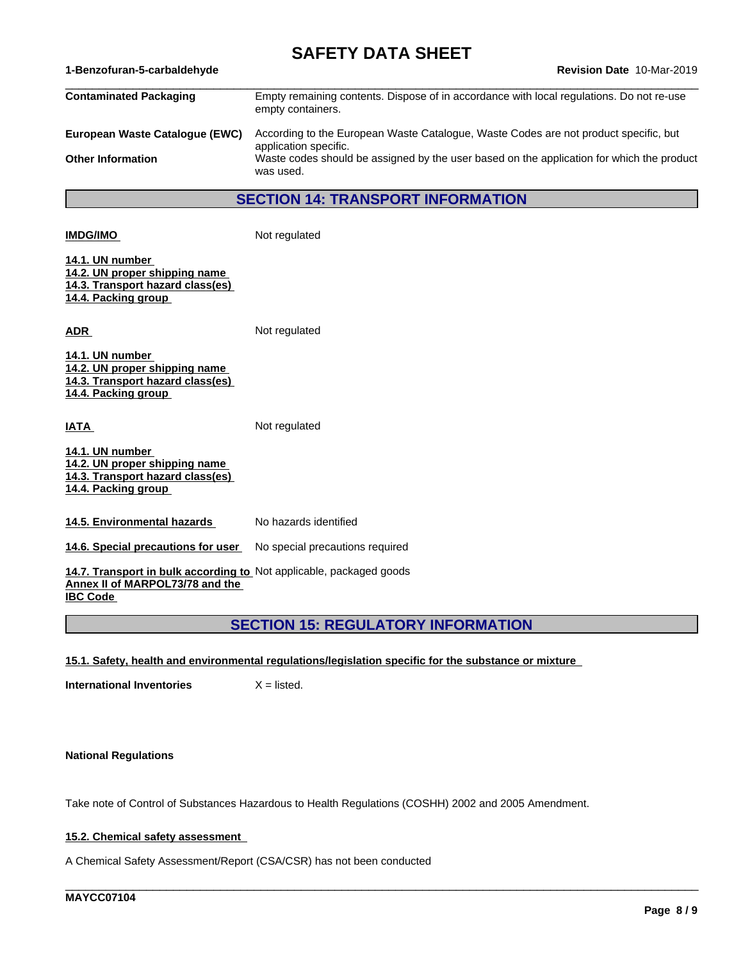**1-Benzofuran-5-carbaldehyde Revision Date** 10-Mar-2019

| Contaminated Packaging         | Empty remaining contents. Dispose of in accordance with local regulations. Do not re-use                      |
|--------------------------------|---------------------------------------------------------------------------------------------------------------|
|                                | empty containers.                                                                                             |
| European Waste Cataloque (EWC) | According to the European Waste Catalogue, Waste Codes are not product specific, but<br>application specific. |
| Other Information              | Waste codes should be assigned by the user based on the application for which the product<br>was used.        |
|                                |                                                                                                               |

**SECTION 14: TRANSPORT INFORMATION**

| <b>IMDG/IMO</b>                                                                                             | Not regulated |
|-------------------------------------------------------------------------------------------------------------|---------------|
| 14.1. UN number<br>14.2. UN proper shipping name<br>14.3. Transport hazard class(es)<br>14.4. Packing group |               |
| ADR                                                                                                         | Not regulated |
| 14.1. UN number                                                                                             |               |

**IATA** Not regulated

**14.1. UN number 14.2. UN proper shipping name 14.3. Transport hazard class(es) 14.4. Packing group**

**14.5. Environmental hazards** No hazards identified

**14.6. Special precautions for user** No special precautions required

**14.7. Transport in bulk according to** Not applicable, packaged goods **Annex II of MARPOL73/78 and the IBC Code** 

### **SECTION 15: REGULATORY INFORMATION**

\_\_\_\_\_\_\_\_\_\_\_\_\_\_\_\_\_\_\_\_\_\_\_\_\_\_\_\_\_\_\_\_\_\_\_\_\_\_\_\_\_\_\_\_\_\_\_\_\_\_\_\_\_\_\_\_\_\_\_\_\_\_\_\_\_\_\_\_\_\_\_\_\_\_\_\_\_\_\_\_\_\_\_\_\_\_\_\_\_\_\_\_\_\_

**15.1. Safety, health and environmental regulations/legislation specific for the substance or mixture**

**International Inventories** X = listed.

**National Regulations**

Take note of Control of Substances Hazardous to Health Regulations (COSHH) 2002 and 2005 Amendment.

#### **15.2. Chemical safety assessment**

A Chemical Safety Assessment/Report (CSA/CSR) has not been conducted